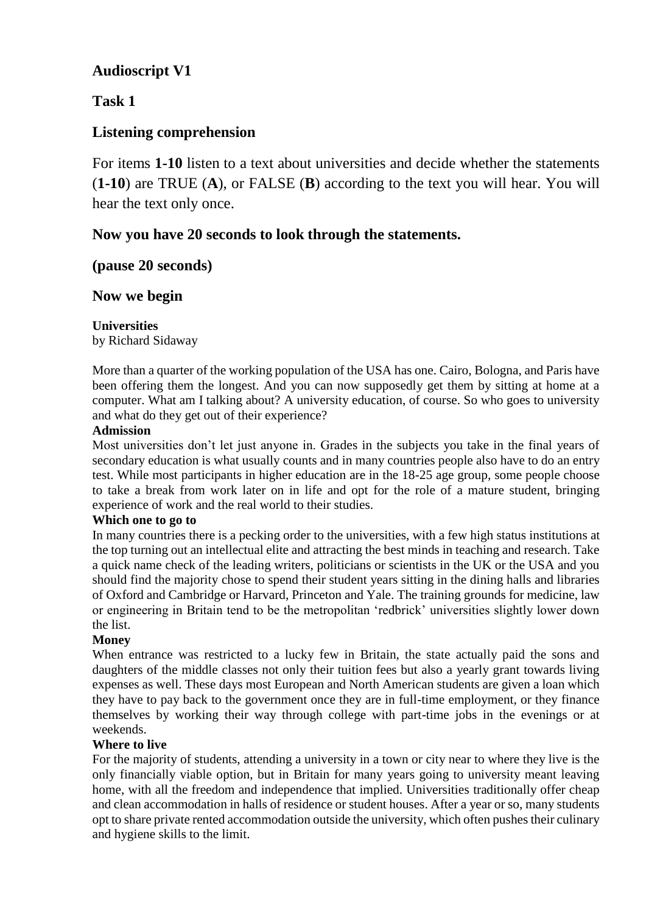# **Audioscript V1**

## **Task 1**

## **Listening comprehension**

For items **1-10** listen to a text about universities and decide whether the statements (**1-10**) are TRUE (**A**), or FALSE (**B**) according to the text you will hear. You will hear the text only once.

## **Now you have 20 seconds to look through the statements.**

### **(pause 20 seconds)**

## **Now we begin**

### **Universities**

by Richard Sidaway

More than a quarter of the working population of the USA has one. Cairo, Bologna, and Paris have been offering them the longest. And you can now supposedly get them by sitting at home at a computer. What am I talking about? A university education, of course. So who goes to university and what do they get out of their experience?

### **Admission**

Most universities don't let just anyone in. Grades in the subjects you take in the final years of secondary education is what usually counts and in many countries people also have to do an entry test. While most participants in higher education are in the 18-25 age group, some people choose to take a break from work later on in life and opt for the role of a mature student, bringing experience of work and the real world to their studies.

#### **Which one to go to**

In many countries there is a pecking order to the universities, with a few high status institutions at the top turning out an intellectual elite and attracting the best minds in teaching and research. Take a quick name check of the leading writers, politicians or scientists in the UK or the USA and you should find the majority chose to spend their student years sitting in the dining halls and libraries of Oxford and Cambridge or Harvard, Princeton and Yale. The training grounds for medicine, law or engineering in Britain tend to be the metropolitan 'redbrick' universities slightly lower down the list.

### **Money**

When entrance was restricted to a lucky few in Britain, the state actually paid the sons and daughters of the middle classes not only their tuition fees but also a yearly grant towards living expenses as well. These days most European and North American students are given a loan which they have to pay back to the government once they are in full-time employment, or they finance themselves by working their way through college with part-time jobs in the evenings or at weekends.

### **Where to live**

For the majority of students, attending a university in a town or city near to where they live is the only financially viable option, but in Britain for many years going to university meant leaving home, with all the freedom and independence that implied. Universities traditionally offer cheap and clean accommodation in halls of residence or student houses. After a year or so, many students opt to share private rented accommodation outside the university, which often pushes their culinary and hygiene skills to the limit.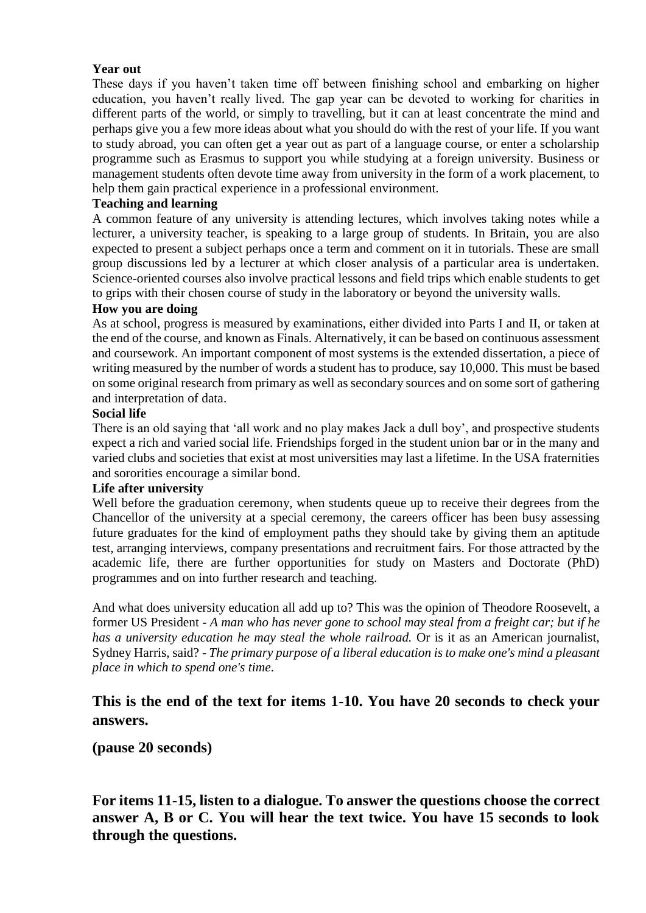### **Year out**

These days if you haven't taken time off between finishing school and embarking on higher education, you haven't really lived. The gap year can be devoted to working for charities in different parts of the world, or simply to travelling, but it can at least concentrate the mind and perhaps give you a few more ideas about what you should do with the rest of your life. If you want to study abroad, you can often get a year out as part of a language course, or enter a scholarship programme such as Erasmus to support you while studying at a foreign university. Business or management students often devote time away from university in the form of a work placement, to help them gain practical experience in a professional environment.

### **Teaching and learning**

A common feature of any university is attending lectures, which involves taking notes while a lecturer, a university teacher, is speaking to a large group of students. In Britain, you are also expected to present a subject perhaps once a term and comment on it in tutorials. These are small group discussions led by a lecturer at which closer analysis of a particular area is undertaken. Science-oriented courses also involve practical lessons and field trips which enable students to get to grips with their chosen course of study in the laboratory or beyond the university walls.

#### **How you are doing**

As at school, progress is measured by examinations, either divided into Parts I and II, or taken at the end of the course, and known as Finals. Alternatively, it can be based on continuous assessment and coursework. An important component of most systems is the extended dissertation, a piece of writing measured by the number of words a student has to produce, say 10,000. This must be based on some original research from primary as well as secondary sources and on some sort of gathering and interpretation of data.

#### **Social life**

There is an old saying that 'all work and no play makes Jack a dull boy', and prospective students expect a rich and varied social life. Friendships forged in the student union bar or in the many and varied clubs and societies that exist at most universities may last a lifetime. In the USA fraternities and sororities encourage a similar bond.

#### **Life after university**

Well before the graduation ceremony, when students queue up to receive their degrees from the Chancellor of the university at a special ceremony, the careers officer has been busy assessing future graduates for the kind of employment paths they should take by giving them an aptitude test, arranging interviews, company presentations and recruitment fairs. For those attracted by the academic life, there are further opportunities for study on Masters and Doctorate (PhD) programmes and on into further research and teaching.

And what does university education all add up to? This was the opinion of Theodore Roosevelt, a former US President - *A man who has never gone to school may steal from a freight car; but if he has a university education he may steal the whole railroad.* Or is it as an American journalist, Sydney Harris, said? - *The primary purpose of a liberal education is to make one's mind a pleasant place in which to spend one's time*.

## **This is the end of the text for items 1-10. You have 20 seconds to check your answers.**

### **(pause 20 seconds)**

**For items 11-15, listen to a dialogue. To answer the questions choose the correct answer A, B or C. You will hear the text twice. You have 15 seconds to look through the questions.**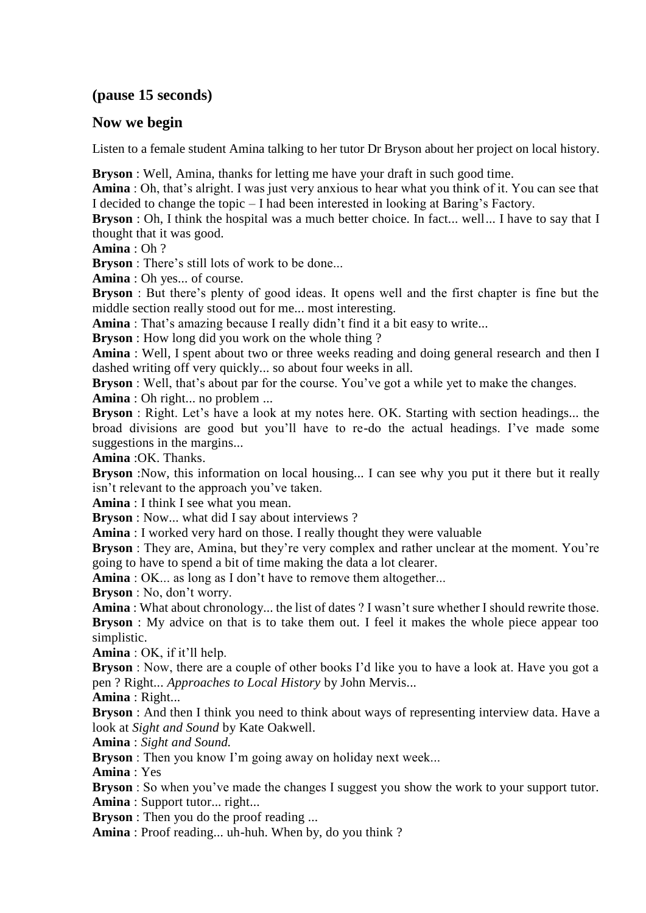## **(pause 15 seconds)**

### **Now we begin**

Listen to a female student Amina talking to her tutor Dr Bryson about her project on local history.

**Bryson** : Well, Amina, thanks for letting me have your draft in such good time.

**Amina** : Oh, that's alright. I was just very anxious to hear what you think of it. You can see that I decided to change the topic – I had been interested in looking at Baring's Factory.

**Bryson** : Oh, I think the hospital was a much better choice. In fact... well... I have to say that I thought that it was good.

**Amina** : Oh ?

**Bryson** : There's still lots of work to be done...

**Amina** : Oh yes... of course.

**Bryson** : But there's plenty of good ideas. It opens well and the first chapter is fine but the middle section really stood out for me... most interesting.

**Amina** : That's amazing because I really didn't find it a bit easy to write...

**Bryson** : How long did you work on the whole thing ?

**Amina** : Well, I spent about two or three weeks reading and doing general research and then I dashed writing off very quickly... so about four weeks in all.

**Bryson** : Well, that's about par for the course. You've got a while yet to make the changes.

**Amina** : Oh right... no problem ...

**Bryson** : Right. Let's have a look at my notes here. OK. Starting with section headings... the broad divisions are good but you'll have to re-do the actual headings. I've made some suggestions in the margins...

**Amina** :OK. Thanks.

**Bryson** :Now, this information on local housing... I can see why you put it there but it really isn't relevant to the approach you've taken.

**Amina** : I think I see what you mean.

**Bryson** : Now... what did I say about interviews ?

**Amina** : I worked very hard on those. I really thought they were valuable

**Bryson** : They are, Amina, but they're very complex and rather unclear at the moment. You're going to have to spend a bit of time making the data a lot clearer.

**Amina** : OK... as long as I don't have to remove them altogether...

**Bryson** : No, don't worry.

**Amina** : What about chronology... the list of dates ? I wasn't sure whether I should rewrite those. **Bryson** : My advice on that is to take them out. I feel it makes the whole piece appear too simplistic.

**Amina** : OK, if it'll help.

**Bryson** : Now, there are a couple of other books I'd like you to have a look at. Have you got a pen ? Right... *Approaches to Local History* by John Mervis...

**Amina** : Right...

**Bryson** : And then I think you need to think about ways of representing interview data. Have a look at *Sight and Sound* by Kate Oakwell.

**Amina** : *Sight and Sound.*

**Bryson** : Then you know I'm going away on holiday next week...

**Amina** : Yes

**Bryson** : So when you've made the changes I suggest you show the work to your support tutor.

**Amina** : Support tutor... right...

**Bryson** : Then you do the proof reading ...

**Amina** : Proof reading... uh-huh. When by, do you think ?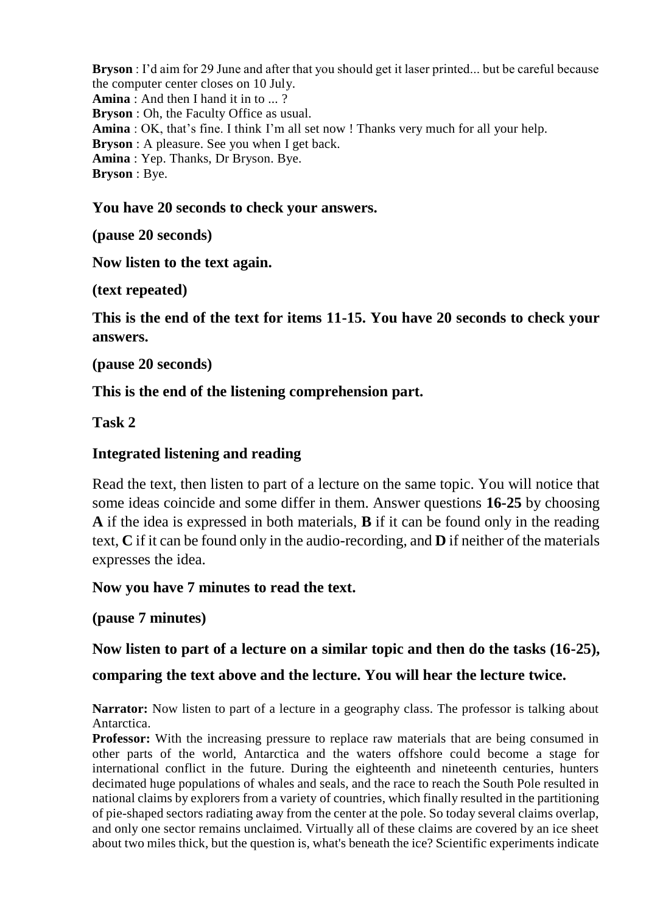**Bryson** : I'd aim for 29 June and after that you should get it laser printed... but be careful because the computer center closes on 10 July. **Amina** : And then I hand it in to ... ? **Bryson** : Oh, the Faculty Office as usual. **Amina** : OK, that's fine. I think I'm all set now ! Thanks very much for all your help. **Bryson** : A pleasure. See you when I get back. **Amina** : Yep. Thanks, Dr Bryson. Bye. **Bryson** : Bye.

## **You have 20 seconds to check your answers.**

**(pause 20 seconds)**

# **Now listen to the text again.**

**(text repeated)**

**This is the end of the text for items 11-15. You have 20 seconds to check your answers.**

**(pause 20 seconds)**

# **This is the end of the listening comprehension part.**

**Task 2**

# **Integrated listening and reading**

Read the text, then listen to part of a lecture on the same topic. You will notice that some ideas coincide and some differ in them. Answer questions **16-25** by choosing **A** if the idea is expressed in both materials, **B** if it can be found only in the reading text, **C** if it can be found only in the audio-recording, and **D** if neither of the materials expresses the idea.

**Now you have 7 minutes to read the text.**

**(pause 7 minutes)**

# **Now listen to part of a lecture on a similar topic and then do the tasks (16-25),**

# **comparing the text above and the lecture. You will hear the lecture twice.**

**Narrator:** Now listen to part of a lecture in a geography class. The professor is talking about Antarctica.

**Professor:** With the increasing pressure to replace raw materials that are being consumed in other parts of the world, Antarctica and the waters offshore could become a stage for international conflict in the future. During the eighteenth and nineteenth centuries, hunters decimated huge populations of whales and seals, and the race to reach the South Pole resulted in national claims by explorers from a variety of countries, which finally resulted in the partitioning of pie-shaped sectors radiating away from the center at the pole. So today several claims overlap, and only one sector remains unclaimed. Virtually all of these claims are covered by an ice sheet about two miles thick, but the question is, what's beneath the ice? Scientific experiments indicate